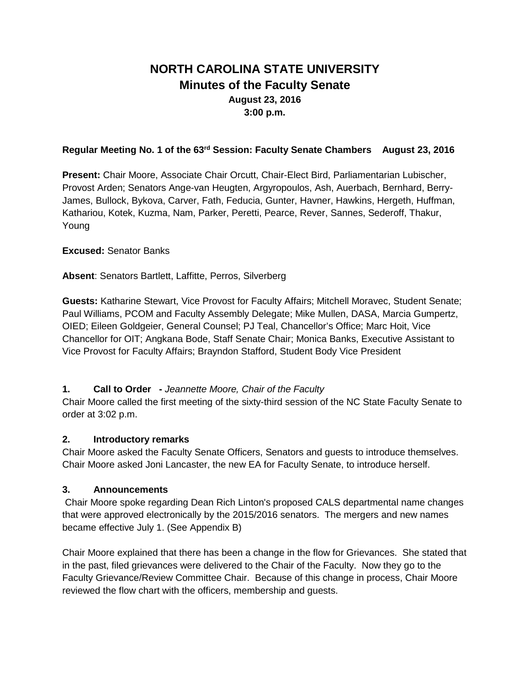# **NORTH CAROLINA STATE UNIVERSITY Minutes of the Faculty Senate August 23, 2016 3:00 p.m.**

#### **Regular Meeting No. 1 of the 63rd Session: Faculty Senate Chambers August 23, 2016**

**Present:** Chair Moore, Associate Chair Orcutt, Chair-Elect Bird, Parliamentarian Lubischer, Provost Arden; Senators Ange-van Heugten, Argyropoulos, Ash, Auerbach, Bernhard, Berry-James, Bullock, Bykova, Carver, Fath, Feducia, Gunter, Havner, Hawkins, Hergeth, Huffman, Kathariou, Kotek, Kuzma, Nam, Parker, Peretti, Pearce, Rever, Sannes, Sederoff, Thakur, Young

#### **Excused:** Senator Banks

**Absent**: Senators Bartlett, Laffitte, Perros, Silverberg

**Guests:** Katharine Stewart, Vice Provost for Faculty Affairs; Mitchell Moravec, Student Senate; Paul Williams, PCOM and Faculty Assembly Delegate; Mike Mullen, DASA, Marcia Gumpertz, OIED; Eileen Goldgeier, General Counsel; PJ Teal, Chancellor's Office; Marc Hoit, Vice Chancellor for OIT; Angkana Bode, Staff Senate Chair; Monica Banks, Executive Assistant to Vice Provost for Faculty Affairs; Brayndon Stafford, Student Body Vice President

#### **1. Call to Order -** *Jeannette Moore, Chair of the Faculty*

Chair Moore called the first meeting of the sixty-third session of the NC State Faculty Senate to order at 3:02 p.m.

#### **2. Introductory remarks**

Chair Moore asked the Faculty Senate Officers, Senators and guests to introduce themselves. Chair Moore asked Joni Lancaster, the new EA for Faculty Senate, to introduce herself.

#### **3. Announcements**

Chair Moore spoke regarding Dean Rich Linton's proposed CALS departmental name changes that were approved electronically by the 2015/2016 senators. The mergers and new names became effective July 1. (See Appendix B)

Chair Moore explained that there has been a change in the flow for Grievances. She stated that in the past, filed grievances were delivered to the Chair of the Faculty. Now they go to the Faculty Grievance/Review Committee Chair. Because of this change in process, Chair Moore reviewed the flow chart with the officers, membership and guests.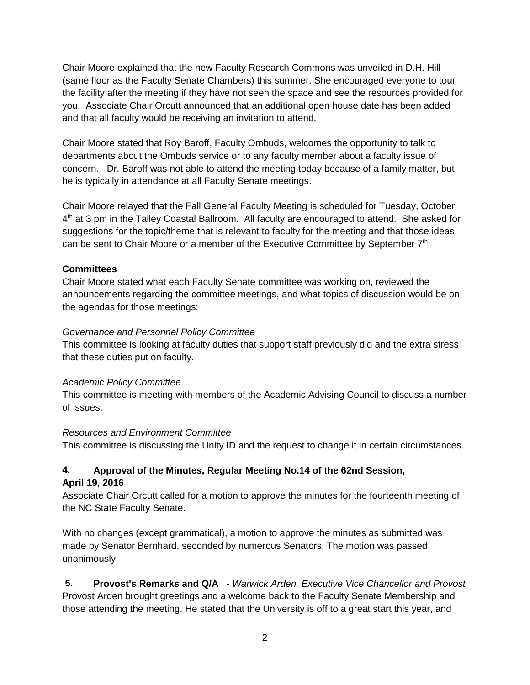Chair Moore explained that the new Faculty Research Commons was unveiled in D.H. Hill (same floor as the Faculty Senate Chambers) this summer. She encouraged everyone to tour the facility after the meeting if they have not seen the space and see the resources provided for you. Associate Chair Orcutt announced that an additional open house date has been added and that all faculty would be receiving an invitation to attend.

Chair Moore stated that Roy Baroff, Faculty Ombuds, welcomes the opportunity to talk to departments about the Ombuds service or to any faculty member about a faculty issue of concern. Dr. Baroff was not able to attend the meeting today because of a family matter, but he is typically in attendance at all Faculty Senate meetings.

Chair Moore relayed that the Fall General Faculty Meeting is scheduled for Tuesday, October 4<sup>th</sup> at 3 pm in the Talley Coastal Ballroom. All faculty are encouraged to attend. She asked for suggestions for the topic/theme that is relevant to faculty for the meeting and that those ideas can be sent to Chair Moore or a member of the Executive Committee by September 7th.

## **Committees**

Chair Moore stated what each Faculty Senate committee was working on, reviewed the announcements regarding the committee meetings, and what topics of discussion would be on the agendas for those meetings:

#### *Governance and Personnel Policy Committee*

This committee is looking at faculty duties that support staff previously did and the extra stress that these duties put on faculty.

## *Academic Policy Committee*

This committee is meeting with members of the Academic Advising Council to discuss a number of issues.

#### *Resources and Environment Committee*

This committee is discussing the Unity ID and the request to change it in certain circumstances.

# **4. Approval of the Minutes, Regular Meeting No.14 of the 62nd Session,**

#### **April 19, 2016**

Associate Chair Orcutt called for a motion to approve the minutes for the fourteenth meeting of the NC State Faculty Senate.

With no changes (except grammatical), a motion to approve the minutes as submitted was made by Senator Bernhard, seconded by numerous Senators. The motion was passed unanimously.

**5. Provost's Remarks and Q/A -** *Warwick Arden, Executive Vice Chancellor and Provost* Provost Arden brought greetings and a welcome back to the Faculty Senate Membership and those attending the meeting. He stated that the University is off to a great start this year, and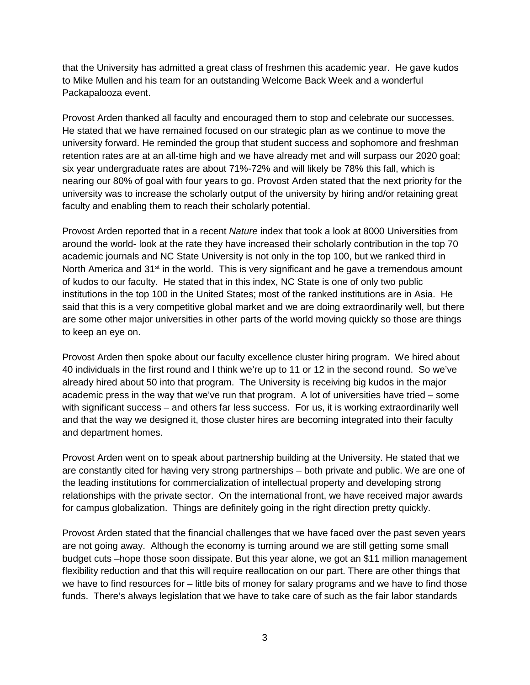that the University has admitted a great class of freshmen this academic year. He gave kudos to Mike Mullen and his team for an outstanding Welcome Back Week and a wonderful Packapalooza event.

Provost Arden thanked all faculty and encouraged them to stop and celebrate our successes. He stated that we have remained focused on our strategic plan as we continue to move the university forward. He reminded the group that student success and sophomore and freshman retention rates are at an all-time high and we have already met and will surpass our 2020 goal; six year undergraduate rates are about 71%-72% and will likely be 78% this fall, which is nearing our 80% of goal with four years to go. Provost Arden stated that the next priority for the university was to increase the scholarly output of the university by hiring and/or retaining great faculty and enabling them to reach their scholarly potential.

Provost Arden reported that in a recent *Nature* index that took a look at 8000 Universities from around the world- look at the rate they have increased their scholarly contribution in the top 70 academic journals and NC State University is not only in the top 100, but we ranked third in North America and  $31<sup>st</sup>$  in the world. This is very significant and he gave a tremendous amount of kudos to our faculty. He stated that in this index, NC State is one of only two public institutions in the top 100 in the United States; most of the ranked institutions are in Asia. He said that this is a very competitive global market and we are doing extraordinarily well, but there are some other major universities in other parts of the world moving quickly so those are things to keep an eye on.

Provost Arden then spoke about our faculty excellence cluster hiring program. We hired about 40 individuals in the first round and I think we're up to 11 or 12 in the second round. So we've already hired about 50 into that program. The University is receiving big kudos in the major academic press in the way that we've run that program. A lot of universities have tried – some with significant success – and others far less success. For us, it is working extraordinarily well and that the way we designed it, those cluster hires are becoming integrated into their faculty and department homes.

Provost Arden went on to speak about partnership building at the University. He stated that we are constantly cited for having very strong partnerships – both private and public. We are one of the leading institutions for commercialization of intellectual property and developing strong relationships with the private sector. On the international front, we have received major awards for campus globalization. Things are definitely going in the right direction pretty quickly.

Provost Arden stated that the financial challenges that we have faced over the past seven years are not going away. Although the economy is turning around we are still getting some small budget cuts –hope those soon dissipate. But this year alone, we got an \$11 million management flexibility reduction and that this will require reallocation on our part. There are other things that we have to find resources for – little bits of money for salary programs and we have to find those funds. There's always legislation that we have to take care of such as the fair labor standards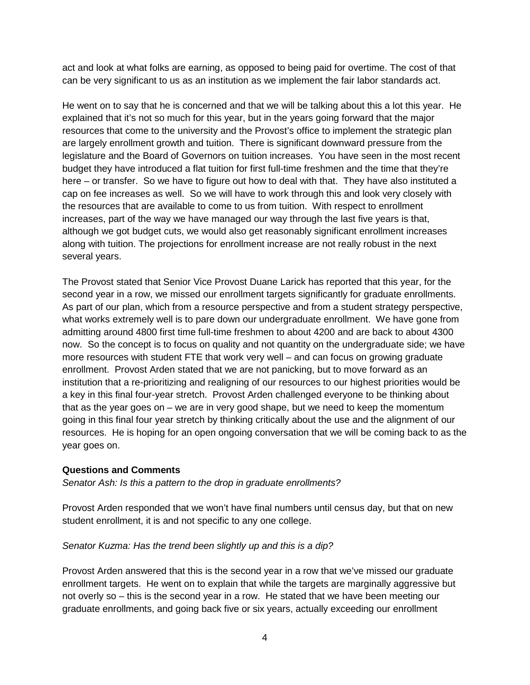act and look at what folks are earning, as opposed to being paid for overtime. The cost of that can be very significant to us as an institution as we implement the fair labor standards act.

He went on to say that he is concerned and that we will be talking about this a lot this year. He explained that it's not so much for this year, but in the years going forward that the major resources that come to the university and the Provost's office to implement the strategic plan are largely enrollment growth and tuition. There is significant downward pressure from the legislature and the Board of Governors on tuition increases. You have seen in the most recent budget they have introduced a flat tuition for first full-time freshmen and the time that they're here – or transfer. So we have to figure out how to deal with that. They have also instituted a cap on fee increases as well. So we will have to work through this and look very closely with the resources that are available to come to us from tuition. With respect to enrollment increases, part of the way we have managed our way through the last five years is that, although we got budget cuts, we would also get reasonably significant enrollment increases along with tuition. The projections for enrollment increase are not really robust in the next several years.

The Provost stated that Senior Vice Provost Duane Larick has reported that this year, for the second year in a row, we missed our enrollment targets significantly for graduate enrollments. As part of our plan, which from a resource perspective and from a student strategy perspective, what works extremely well is to pare down our undergraduate enrollment. We have gone from admitting around 4800 first time full-time freshmen to about 4200 and are back to about 4300 now. So the concept is to focus on quality and not quantity on the undergraduate side; we have more resources with student FTE that work very well – and can focus on growing graduate enrollment. Provost Arden stated that we are not panicking, but to move forward as an institution that a re-prioritizing and realigning of our resources to our highest priorities would be a key in this final four-year stretch. Provost Arden challenged everyone to be thinking about that as the year goes on – we are in very good shape, but we need to keep the momentum going in this final four year stretch by thinking critically about the use and the alignment of our resources. He is hoping for an open ongoing conversation that we will be coming back to as the year goes on.

#### **Questions and Comments**

*Senator Ash: Is this a pattern to the drop in graduate enrollments?*

Provost Arden responded that we won't have final numbers until census day, but that on new student enrollment, it is and not specific to any one college.

#### *Senator Kuzma: Has the trend been slightly up and this is a dip?*

Provost Arden answered that this is the second year in a row that we've missed our graduate enrollment targets. He went on to explain that while the targets are marginally aggressive but not overly so – this is the second year in a row. He stated that we have been meeting our graduate enrollments, and going back five or six years, actually exceeding our enrollment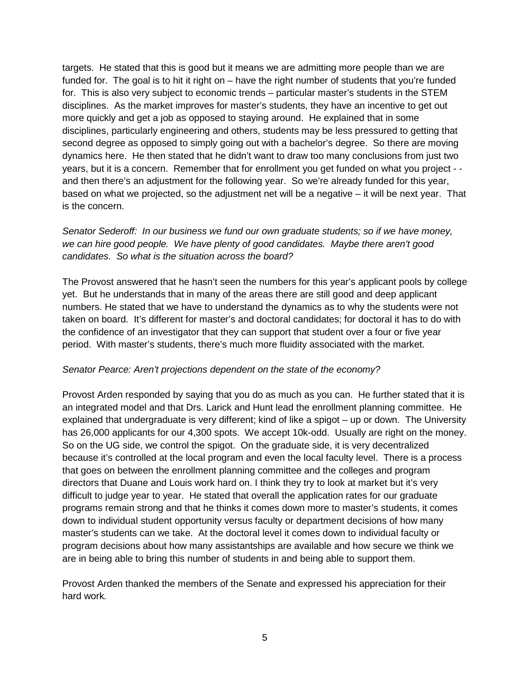targets. He stated that this is good but it means we are admitting more people than we are funded for. The goal is to hit it right on – have the right number of students that you're funded for. This is also very subject to economic trends – particular master's students in the STEM disciplines. As the market improves for master's students, they have an incentive to get out more quickly and get a job as opposed to staying around. He explained that in some disciplines, particularly engineering and others, students may be less pressured to getting that second degree as opposed to simply going out with a bachelor's degree. So there are moving dynamics here. He then stated that he didn't want to draw too many conclusions from just two years, but it is a concern. Remember that for enrollment you get funded on what you project - and then there's an adjustment for the following year. So we're already funded for this year, based on what we projected, so the adjustment net will be a negative – it will be next year. That is the concern.

## *Senator Sederoff: In our business we fund our own graduate students; so if we have money, we can hire good people. We have plenty of good candidates. Maybe there aren't good candidates. So what is the situation across the board?*

The Provost answered that he hasn't seen the numbers for this year's applicant pools by college yet. But he understands that in many of the areas there are still good and deep applicant numbers. He stated that we have to understand the dynamics as to why the students were not taken on board. It's different for master's and doctoral candidates; for doctoral it has to do with the confidence of an investigator that they can support that student over a four or five year period. With master's students, there's much more fluidity associated with the market.

#### *Senator Pearce: Aren't projections dependent on the state of the economy?*

Provost Arden responded by saying that you do as much as you can. He further stated that it is an integrated model and that Drs. Larick and Hunt lead the enrollment planning committee. He explained that undergraduate is very different; kind of like a spigot – up or down. The University has 26,000 applicants for our 4,300 spots. We accept 10k-odd. Usually are right on the money. So on the UG side, we control the spigot. On the graduate side, it is very decentralized because it's controlled at the local program and even the local faculty level. There is a process that goes on between the enrollment planning committee and the colleges and program directors that Duane and Louis work hard on. I think they try to look at market but it's very difficult to judge year to year. He stated that overall the application rates for our graduate programs remain strong and that he thinks it comes down more to master's students, it comes down to individual student opportunity versus faculty or department decisions of how many master's students can we take. At the doctoral level it comes down to individual faculty or program decisions about how many assistantships are available and how secure we think we are in being able to bring this number of students in and being able to support them.

Provost Arden thanked the members of the Senate and expressed his appreciation for their hard work*.*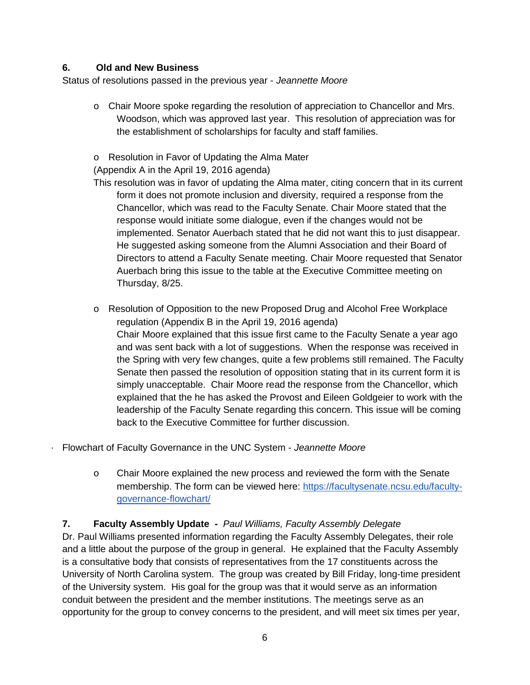## **6. Old and New Business**

Status of resolutions passed in the previous year - *Jeannette Moore*

- o Chair Moore spoke regarding the resolution of appreciation to Chancellor and Mrs. Woodson, which was approved last year. This resolution of appreciation was for the establishment of scholarships for faculty and staff families.
- o Resolution in Favor of Updating the Alma Mater

(Appendix A in the April 19, 2016 agenda)

- This resolution was in favor of updating the Alma mater, citing concern that in its current form it does not promote inclusion and diversity, required a response from the Chancellor, which was read to the Faculty Senate. Chair Moore stated that the response would initiate some dialogue, even if the changes would not be implemented. Senator Auerbach stated that he did not want this to just disappear. He suggested asking someone from the Alumni Association and their Board of Directors to attend a Faculty Senate meeting. Chair Moore requested that Senator Auerbach bring this issue to the table at the Executive Committee meeting on Thursday, 8/25.
- o Resolution of Opposition to the new Proposed Drug and Alcohol Free Workplace regulation (Appendix B in the April 19, 2016 agenda) Chair Moore explained that this issue first came to the Faculty Senate a year ago and was sent back with a lot of suggestions. When the response was received in the Spring with very few changes, quite a few problems still remained. The Faculty Senate then passed the resolution of opposition stating that in its current form it is simply unacceptable. Chair Moore read the response from the Chancellor, which explained that the he has asked the Provost and Eileen Goldgeier to work with the leadership of the Faculty Senate regarding this concern. This issue will be coming back to the Executive Committee for further discussion.
- · Flowchart of Faculty Governance in the UNC System *Jeannette Moore*
	- o Chair Moore explained the new process and reviewed the form with the Senate membership. The form can be viewed here[:](https://facultysenate.ncsu.edu/faculty-governance-flowchart/) [https://facultysenate.ncsu.edu/faculty](https://facultysenate.ncsu.edu/faculty-governance-flowchart/)[governance-flowchart/](https://facultysenate.ncsu.edu/faculty-governance-flowchart/)

## **7. Faculty Assembly Update -** *Paul Williams, Faculty Assembly Delegate*

Dr. Paul Williams presented information regarding the Faculty Assembly Delegates, their role and a little about the purpose of the group in general. He explained that the Faculty Assembly is a consultative body that consists of representatives from the 17 constituents across the University of North Carolina system. The group was created by Bill Friday, long-time president of the University system. His goal for the group was that it would serve as an information conduit between the president and the member institutions. The meetings serve as an opportunity for the group to convey concerns to the president, and will meet six times per year,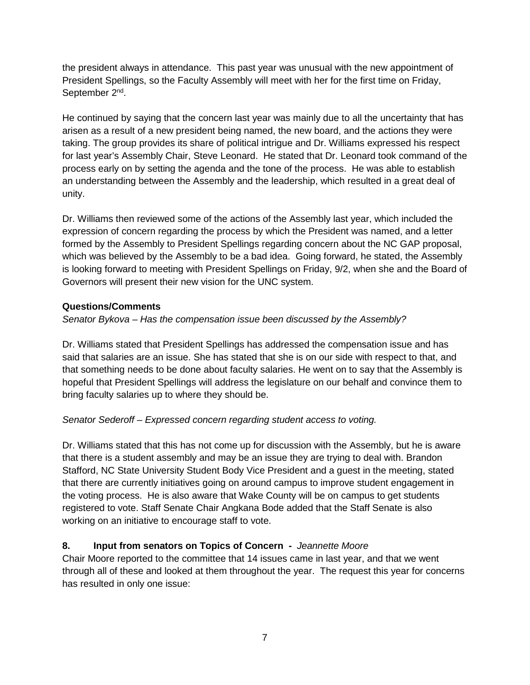the president always in attendance. This past year was unusual with the new appointment of President Spellings, so the Faculty Assembly will meet with her for the first time on Friday, September 2<sup>nd</sup>.

He continued by saying that the concern last year was mainly due to all the uncertainty that has arisen as a result of a new president being named, the new board, and the actions they were taking. The group provides its share of political intrigue and Dr. Williams expressed his respect for last year's Assembly Chair, Steve Leonard. He stated that Dr. Leonard took command of the process early on by setting the agenda and the tone of the process. He was able to establish an understanding between the Assembly and the leadership, which resulted in a great deal of unity.

Dr. Williams then reviewed some of the actions of the Assembly last year, which included the expression of concern regarding the process by which the President was named, and a letter formed by the Assembly to President Spellings regarding concern about the NC GAP proposal, which was believed by the Assembly to be a bad idea. Going forward, he stated, the Assembly is looking forward to meeting with President Spellings on Friday, 9/2, when she and the Board of Governors will present their new vision for the UNC system.

## **Questions/Comments**

## *Senator Bykova – Has the compensation issue been discussed by the Assembly?*

Dr. Williams stated that President Spellings has addressed the compensation issue and has said that salaries are an issue. She has stated that she is on our side with respect to that, and that something needs to be done about faculty salaries. He went on to say that the Assembly is hopeful that President Spellings will address the legislature on our behalf and convince them to bring faculty salaries up to where they should be.

## *Senator Sederoff – Expressed concern regarding student access to voting.*

Dr. Williams stated that this has not come up for discussion with the Assembly, but he is aware that there is a student assembly and may be an issue they are trying to deal with. Brandon Stafford, NC State University Student Body Vice President and a guest in the meeting, stated that there are currently initiatives going on around campus to improve student engagement in the voting process. He is also aware that Wake County will be on campus to get students registered to vote. Staff Senate Chair Angkana Bode added that the Staff Senate is also working on an initiative to encourage staff to vote.

## **8. Input from senators on Topics of Concern -** *Jeannette Moore*

Chair Moore reported to the committee that 14 issues came in last year, and that we went through all of these and looked at them throughout the year. The request this year for concerns has resulted in only one issue: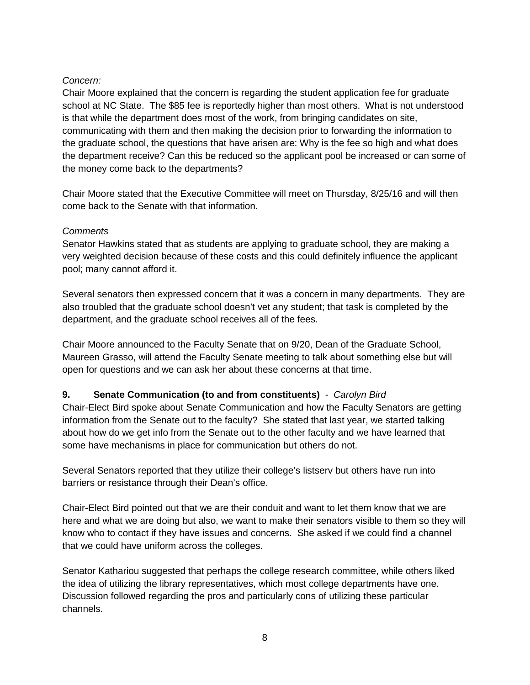## *Concern:*

Chair Moore explained that the concern is regarding the student application fee for graduate school at NC State. The \$85 fee is reportedly higher than most others. What is not understood is that while the department does most of the work, from bringing candidates on site, communicating with them and then making the decision prior to forwarding the information to the graduate school, the questions that have arisen are: Why is the fee so high and what does the department receive? Can this be reduced so the applicant pool be increased or can some of the money come back to the departments?

Chair Moore stated that the Executive Committee will meet on Thursday, 8/25/16 and will then come back to the Senate with that information.

## *Comments*

Senator Hawkins stated that as students are applying to graduate school, they are making a very weighted decision because of these costs and this could definitely influence the applicant pool; many cannot afford it.

Several senators then expressed concern that it was a concern in many departments. They are also troubled that the graduate school doesn't vet any student; that task is completed by the department, and the graduate school receives all of the fees.

Chair Moore announced to the Faculty Senate that on 9/20, Dean of the Graduate School, Maureen Grasso, will attend the Faculty Senate meeting to talk about something else but will open for questions and we can ask her about these concerns at that time.

# **9. Senate Communication (to and from constituents)** - *Carolyn Bird*

Chair-Elect Bird spoke about Senate Communication and how the Faculty Senators are getting information from the Senate out to the faculty? She stated that last year, we started talking about how do we get info from the Senate out to the other faculty and we have learned that some have mechanisms in place for communication but others do not.

Several Senators reported that they utilize their college's listserv but others have run into barriers or resistance through their Dean's office.

Chair-Elect Bird pointed out that we are their conduit and want to let them know that we are here and what we are doing but also, we want to make their senators visible to them so they will know who to contact if they have issues and concerns. She asked if we could find a channel that we could have uniform across the colleges.

Senator Kathariou suggested that perhaps the college research committee, while others liked the idea of utilizing the library representatives, which most college departments have one. Discussion followed regarding the pros and particularly cons of utilizing these particular channels.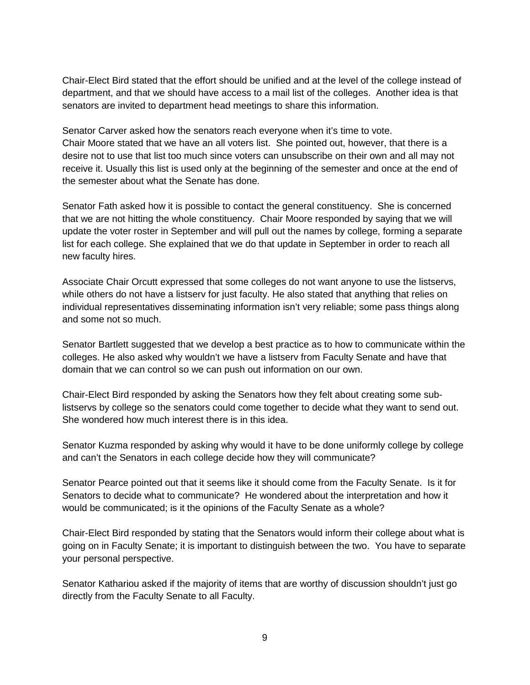Chair-Elect Bird stated that the effort should be unified and at the level of the college instead of department, and that we should have access to a mail list of the colleges. Another idea is that senators are invited to department head meetings to share this information.

Senator Carver asked how the senators reach everyone when it's time to vote. Chair Moore stated that we have an all voters list. She pointed out, however, that there is a desire not to use that list too much since voters can unsubscribe on their own and all may not receive it. Usually this list is used only at the beginning of the semester and once at the end of the semester about what the Senate has done.

Senator Fath asked how it is possible to contact the general constituency. She is concerned that we are not hitting the whole constituency. Chair Moore responded by saying that we will update the voter roster in September and will pull out the names by college, forming a separate list for each college. She explained that we do that update in September in order to reach all new faculty hires.

Associate Chair Orcutt expressed that some colleges do not want anyone to use the listservs, while others do not have a listserv for just faculty. He also stated that anything that relies on individual representatives disseminating information isn't very reliable; some pass things along and some not so much.

Senator Bartlett suggested that we develop a best practice as to how to communicate within the colleges. He also asked why wouldn't we have a listserv from Faculty Senate and have that domain that we can control so we can push out information on our own.

Chair-Elect Bird responded by asking the Senators how they felt about creating some sublistservs by college so the senators could come together to decide what they want to send out. She wondered how much interest there is in this idea.

Senator Kuzma responded by asking why would it have to be done uniformly college by college and can't the Senators in each college decide how they will communicate?

Senator Pearce pointed out that it seems like it should come from the Faculty Senate. Is it for Senators to decide what to communicate? He wondered about the interpretation and how it would be communicated; is it the opinions of the Faculty Senate as a whole?

Chair-Elect Bird responded by stating that the Senators would inform their college about what is going on in Faculty Senate; it is important to distinguish between the two. You have to separate your personal perspective.

Senator Kathariou asked if the majority of items that are worthy of discussion shouldn't just go directly from the Faculty Senate to all Faculty.